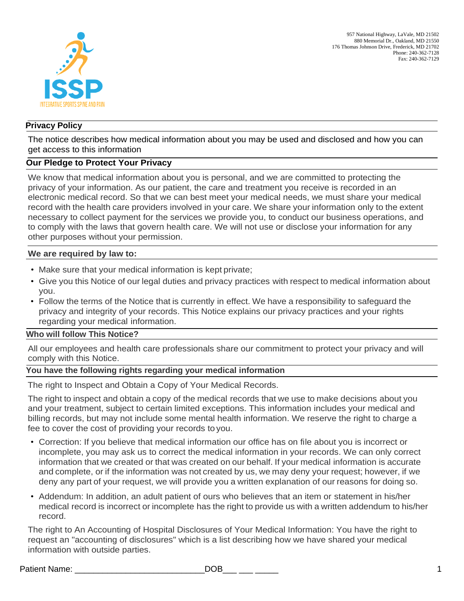

## **Privacy Policy**

The notice describes how medical information about you may be used and disclosed and how you can get access to this information

# **Our Pledge to Protect Your Privacy**

We know that medical information about you is personal, and we are committed to protecting the privacy of your information. As our patient, the care and treatment you receive is recorded in an electronic medical record. So that we can best meet your medical needs, we must share your medical record with the health care providers involved in your care. We share your information only to the extent necessary to collect payment for the services we provide you, to conduct our business operations, and to comply with the laws that govern health care. We will not use or disclose your information for any other purposes without your permission.

### **We are required by law to:**

- Make sure that your medical information is kept private;
- Give you this Notice of our legal duties and privacy practices with respect to medical information about you.
- Follow the terms of the Notice that is currently in effect. We have a responsibility to safeguard the privacy and integrity of your records. This Notice explains our privacy practices and your rights regarding your medical information.

### **Who will follow This Notice?**

All our employees and health care professionals share our commitment to protect your privacy and will comply with this Notice.

# **You have the following rights regarding your medical information**

The right to Inspect and Obtain a Copy of Your Medical Records.

The right to inspect and obtain a copy of the medical records that we use to make decisions about you and your treatment, subject to certain limited exceptions. This information includes your medical and billing records, but may not include some mental health information. We reserve the right to charge a fee to cover the cost of providing your records to you.

- Correction: If you believe that medical information our office has on file about you is incorrect or incomplete, you may ask us to correct the medical information in your records. We can only correct information that we created or that was created on our behalf. If your medical information is accurate and complete, or if the information was not created by us, we may deny your request; however, if we deny any part of your request, we will provide you a written explanation of our reasons for doing so.
- Addendum: In addition, an adult patient of ours who believes that an item or statement in his/her medical record is incorrect or incomplete has the right to provide us with a written addendum to his/her record.

The right to An Accounting of Hospital Disclosures of Your Medical Information: You have the right to request an "accounting of disclosures" which is a list describing how we have shared your medical information with outside parties.

Patient Name: \_\_\_\_\_\_\_\_\_\_\_\_\_\_\_\_\_\_\_\_\_\_\_\_\_\_\_\_DOB\_\_\_ \_\_\_ \_\_\_\_\_ 1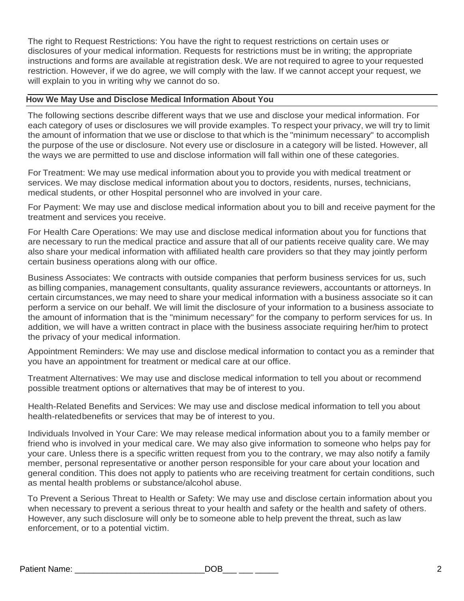The right to Request Restrictions: You have the right to request restrictions on certain uses or disclosures of your medical information. Requests for restrictions must be in writing; the appropriate instructions and forms are available at registration desk. We are not required to agree to your requested restriction. However, if we do agree, we will comply with the law. If we cannot accept your request, we will explain to you in writing why we cannot do so.

# **How We May Use and Disclose Medical Information About You**

The following sections describe different ways that we use and disclose your medical information. For each category of uses or disclosures we will provide examples. To respect your privacy, we will try to limit the amount of information that we use or disclose to that which is the "minimum necessary" to accomplish the purpose of the use or disclosure. Not every use or disclosure in a category will be listed. However, all the ways we are permitted to use and disclose information will fall within one of these categories.

For Treatment: We may use medical information about you to provide you with medical treatment or services. We may disclose medical information about you to doctors, residents, nurses, technicians, medical students, or other Hospital personnel who are involved in your care.

For Payment: We may use and disclose medical information about you to bill and receive payment for the treatment and services you receive.

For Health Care Operations: We may use and disclose medical information about you for functions that are necessary to run the medical practice and assure that all of our patients receive quality care. We may also share your medical information with affiliated health care providers so that they may jointly perform certain business operations along with our office.

Business Associates: We contracts with outside companies that perform business services for us, such as billing companies, management consultants, quality assurance reviewers, accountants or attorneys. In certain circumstances, we may need to share your medical information with a business associate so it can perform a service on our behalf. We will limit the disclosure of your information to a business associate to the amount of information that is the "minimum necessary" for the company to perform services for us. In addition, we will have a written contract in place with the business associate requiring her/him to protect the privacy of your medical information.

Appointment Reminders: We may use and disclose medical information to contact you as a reminder that you have an appointment for treatment or medical care at our office.

Treatment Alternatives: We may use and disclose medical information to tell you about or recommend possible treatment options or alternatives that may be of interest to you.

Health-Related Benefits and Services: We may use and disclose medical information to tell you about health-relatedbenefits or services that may be of interest to you.

Individuals Involved in Your Care: We may release medical information about you to a family member or friend who is involved in your medical care. We may also give information to someone who helps pay for your care. Unless there is a specific written request from you to the contrary, we may also notify a family member, personal representative or another person responsible for your care about your location and general condition. This does not apply to patients who are receiving treatment for certain conditions, such as mental health problems or substance/alcohol abuse.

To Prevent a Serious Threat to Health or Safety: We may use and disclose certain information about you when necessary to prevent a serious threat to your health and safety or the health and safety of others. However, any such disclosure will only be to someone able to help prevent the threat, such as law enforcement, or to a potential victim.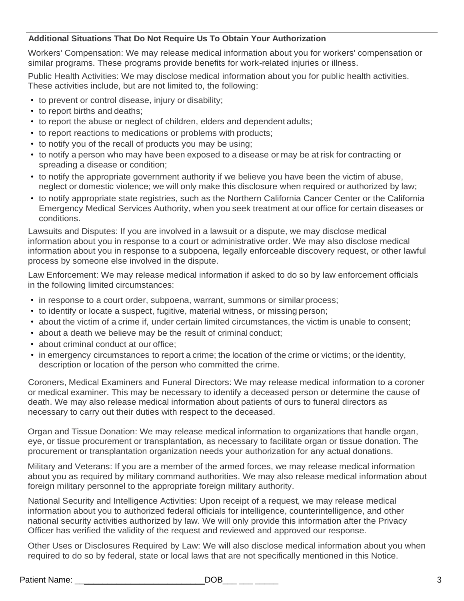# **Additional Situations That Do Not Require Us To Obtain Your Authorization**

Workers' Compensation: We may release medical information about you for workers' compensation or similar programs. These programs provide benefits for work-related injuries or illness.

Public Health Activities: We may disclose medical information about you for public health activities. These activities include, but are not limited to, the following:

- to prevent or control disease, injury or disability;
- to report births and deaths;
- to report the abuse or neglect of children, elders and dependent adults;
- to report reactions to medications or problems with products;
- to notify you of the recall of products you may be using;
- to notify a person who may have been exposed to a disease or may be at risk for contracting or spreading a disease or condition;
- to notify the appropriate government authority if we believe you have been the victim of abuse, neglect or domestic violence; we will only make this disclosure when required or authorized by law;
- to notify appropriate state registries, such as the Northern California Cancer Center or the California Emergency Medical Services Authority, when you seek treatment at our office for certain diseases or conditions.

Lawsuits and Disputes: If you are involved in a lawsuit or a dispute, we may disclose medical information about you in response to a court or administrative order. We may also disclose medical information about you in response to a subpoena, legally enforceable discovery request, or other lawful process by someone else involved in the dispute.

Law Enforcement: We may release medical information if asked to do so by law enforcement officials in the following limited circumstances:

- in response to a court order, subpoena, warrant, summons or similar process;
- to identify or locate a suspect, fugitive, material witness, or missing person;
- about the victim of a crime if, under certain limited circumstances, the victim is unable to consent;
- about a death we believe may be the result of criminal conduct;
- about criminal conduct at our office;
- in emergency circumstances to report a crime; the location of the crime or victims; or the identity, description or location of the person who committed the crime.

Coroners, Medical Examiners and Funeral Directors: We may release medical information to a coroner or medical examiner. This may be necessary to identify a deceased person or determine the cause of death. We may also release medical information about patients of ours to funeral directors as necessary to carry out their duties with respect to the deceased.

Organ and Tissue Donation: We may release medical information to organizations that handle organ, eye, or tissue procurement or transplantation, as necessary to facilitate organ or tissue donation. The procurement or transplantation organization needs your authorization for any actual donations.

Military and Veterans: If you are a member of the armed forces, we may release medical information about you as required by military command authorities. We may also release medical information about foreign military personnel to the appropriate foreign military authority.

National Security and Intelligence Activities: Upon receipt of a request, we may release medical information about you to authorized federal officials for intelligence, counterintelligence, and other national security activities authorized by law. We will only provide this information after the Privacy Officer has verified the validity of the request and reviewed and approved our response.

Other Uses or Disclosures Required by Law: We will also disclose medical information about you when required to do so by federal, state or local laws that are not specifically mentioned in this Notice.